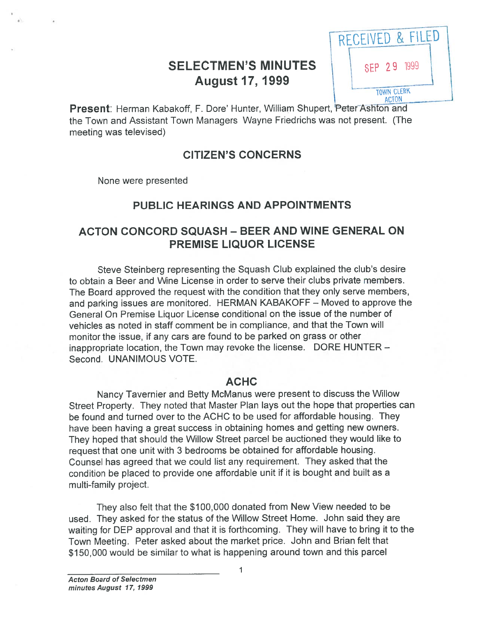# SELECTMEN'S MINUTES<br>
August 17, 1999



Present: Herman Kabakoff, F. Dore' Hunter, William Shupert, Peter Ashton and the Town and Assistant Town Managers Wayne Friedrichs was not present. (The meeting was televised)

#### CITIZEN'S CONCERNS

None were presented

## PUBLIC HEARINGS AND APPOINTMENTS

### ACTON CONCORD SQUASH - BEER AND WINE GENERAL ON PREMISE LIQUOR LICENSE

Steve Steinberg representing the Squash Club explained the club's desire to obtain <sup>a</sup> Beer and Wine License in order to serve their clubs private members. The Board approved the reques<sup>t</sup> with the condition that they only serve members, and parking issues are monitored. HERMAN KABAKOFF — Moved to approve the General On Premise Liquor License conditional on the issue of the number of vehicles as noted in staff comment be in compliance, and that the Town will monitor the issue, if any cars are found to be parked on grass or other inappropriate location, the Town may revoke the license. DORE HUNTER — Second. UNANIMOUS VOTE.

#### ACHC

Nancy Tavernier and Betty McManus were presen<sup>t</sup> to discuss the Willow Street Property. They noted that Master Plan lays out the hope that properties can be found and turned over to the ACHC to be used for affordable housing. They have been having <sup>a</sup> grea<sup>t</sup> success in obtaining homes and getting new owners. They hoped that should the Willow Street parce<sup>l</sup> be auctioned they would like to reques<sup>t</sup> that one unit with <sup>3</sup> bedrooms be obtained for affordable housing. Counsel has agreed that we could list any requirement. They asked that the condition be placed to provide one affordable unit if it is bought and built as <sup>a</sup> multi-family project.

They also felt that the \$100,000 donated from New View needed to be used. They asked for the status of the Willow Street Home. John said they are waiting for DEP approva<sup>l</sup> and that it is forthcoming. They will have to bring it to the Town Meeting. Peter asked about the market price. John and Brian felt that \$150,000 would be similar to what is happening around town and this parcel

1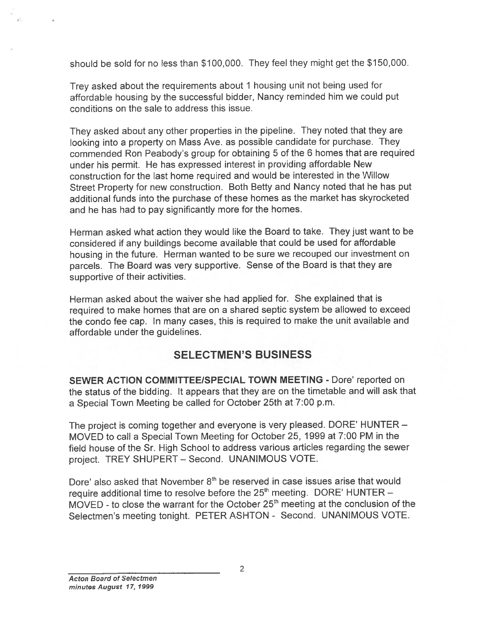should be sold for no less than \$100,000. They feel they might ge<sup>t</sup> the \$150,000.

Trey asked about the requirements about <sup>1</sup> housing unit not being used for affordable housing by the successful bidder, Nancy reminded him we could pu<sup>t</sup> conditions on the sale to address this issue.

They asked about any other properties in the <sup>p</sup>ipeline. They noted that they are looking into <sup>a</sup> property on Mass Ave. as possible candidate for purchase. They commended Ron Peabody's group for obtaining 5 of the <sup>6</sup> homes that are required under his permit. He has expressed interest in providing affordable New construction for the last home required and would be interested in the Willow Street Property for new construction. Both Betty and Nancy noted that he has pu<sup>t</sup> additional funds into the purchase of these homes as the market has skyrocketed and he has had to pay significantly more for the homes.

Herman asked what action they would like the Board to take. They just want to be considered if any buildings become available that could be used for affordable housing in the future. Herman wanted to be sure we recoupe<sup>d</sup> our investment on parcels. The Board was very supportive. Sense of the Board is that they are supportive of their activities.

Herman asked about the waiver she had applied for. She explained that is required to make homes that are on <sup>a</sup> shared septic system be allowed to exceed the condo fee cap. In many cases, this is required to make the unit available and affordable under the guidelines.

#### SELECTMEN'S BUSINESS

SEWER ACTION COMMITTEE/SPECIAL TOWN MEETING - Dore' reported on the status of the bidding. It appears that they are on the timetable and will ask that <sup>a</sup> Special Town Meeting be called for October 25th at 7:00 p.m.

The project is coming together and everyone is very <sup>p</sup>leased. DORE' HUNTER — MOVED to call <sup>a</sup> Special Town Meeting for October 25, 1999 at 7:00 PM in the field house of the Sr. High School to address various articles regarding the sewer project. TREY SHUPERT — Second. UNANIMOUS VOTE.

Dore' also asked that November  $8<sup>th</sup>$  be reserved in case issues arise that would require additional time to resolve before the 25<sup>th</sup> meeting. DORE' HUNTER -MOVED - to close the warrant for the October 25<sup>th</sup> meeting at the conclusion of the Selectmen's meeting tonight. PETER ASHTON - Second. UNANIMOUS VOTE.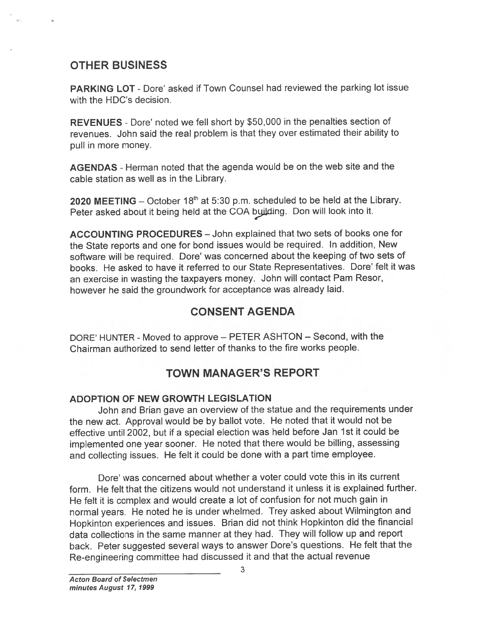## OTHER BUSINESS

PARKING LOT - Dore' asked if Town Counsel had reviewed the parking lot issue with the HDC's decision.

REVENUES - Dote' noted we fell short by \$50,000 in the penalties section of revenues. John said the real problem is that they over estimated their ability to pull in more money.

AGENDAS -Herman noted that the agenda would be on the web site and the cable station as well as in the Library.

2020 MEETING – October  $18<sup>th</sup>$  at 5:30 p.m. scheduled to be held at the Library. Peter asked about it being held at the COA byilding. Don will look into it.

ACCOUNTING PROCEDURES — John explained that two sets of books one for the State reports and one for bond issues would be required. In addition, New software will be required. Dore' was concerned about the keeping of two sets of books. He asked to have it referred to our State Representatives. Dore' felt it was an exercise in wasting the taxpayers money. John will contact Pam Resor, however he said the groundwork for acceptance was already laid.

## CONSENT AGENDA

DORE' HUNTER - Moved to approve - PETER ASHTON - Second, with the Chairman authorized to send letter of thanks to the fire works people.

## TOWN MANAGER'S REPORT

#### ADOPTION OF NEW GROWTH LEGISLATION

John and Brian gave an overview of the statue and the requirements under the new act. Approval would be by ballot vote. He noted that it would not be effective until 2002, but if <sup>a</sup> special election was held before Jan 1st it could be implemented one year sooner. He noted that there would be billing, assessing and collecting issues. He felt it could be done with <sup>a</sup> par<sup>t</sup> time employee.

Dote' was concerned about whether <sup>a</sup> voter could vote this in its current form. He felt that the citizens would not understand it unless it is explained further. He felt it is complex and would create <sup>a</sup> lot of confusion for not much gain in normal years. He noted he is under whelmed. Trey asked about Wilmington and Hopkinton experiences and issues. Brian did not think Hopkinton did the financial data collections in the same manner at they had. They will follow up and repor<sup>t</sup> back. Peter suggested several ways to answer Dore's questions. He felt that the Re-engineering committee had discussed it and that the actual revenue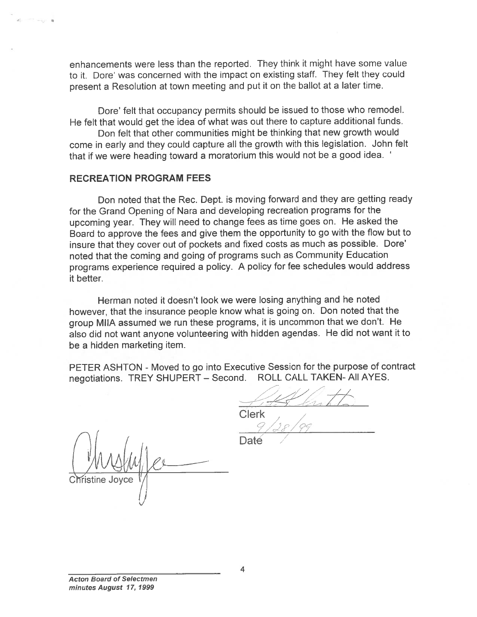enhancements were less than the reported. They think it might have some value to it. Dore' was concerned with the impact on existing staff. They felt they could presen<sup>t</sup> <sup>a</sup> Resolution at town meeting and pu<sup>t</sup> it on the ballot at <sup>a</sup> later time.

Dore' felt that occupancy permits should be issued to those who remodel. He felt that would ge<sup>t</sup> the idea of what was out there to capture additional funds.

Don felt that other communities might be thinking that new growth would come in early and they could capture all the growth with this legislation. John felt that if we were heading toward <sup>a</sup> moratorium this would not be <sup>a</sup> goo<sup>d</sup> idea.

#### RECREATION PROGRAM FEES

Don noted that the Rec. Dept. is moving forward and they are getting ready for the Grand Opening of Nara and developing recreation programs for the upcoming year. They will need to change fees as time goes on. He asked the Board to approve the fees and <sup>g</sup>ive them the opportunity to go with the flow but to insure that they cover out of pockets and fixed costs as much as possible. Dore' noted that the coming and going of programs such as Community Education programs experience required <sup>a</sup> policy. <sup>A</sup> policy for fee schedules would address it better.

Herman noted it doesn't look we were losing anything and he noted however, that the insurance people know what is going on. Don noted that the group MIIA assumed we run these programs, it is uncommon that we don't. He also did not want anyone volunteering with hidden agendas. He did not want it to be <sup>a</sup> hidden marketing item.

PETER ASHTON - Moved to go into Executive Session for the purpose of contract negotiations. TREY SHUPERT — Second. ROLL CALL TAKEN- All AYES.

 $1752$   $120h$ Clerk , /

Daté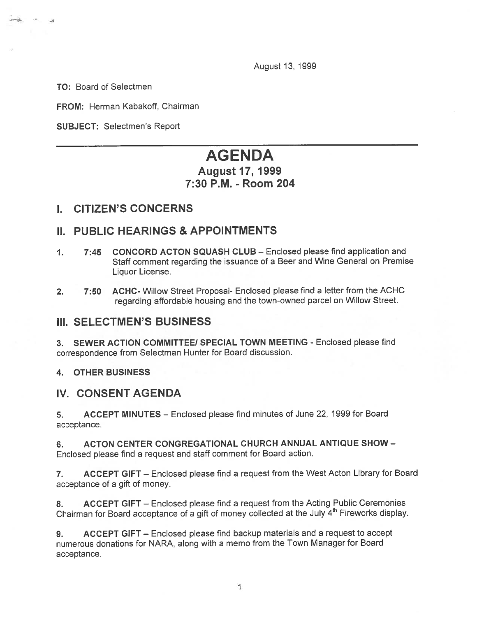August 13, 1999

TO: Board of Selectmen

.3

FROM: Herman Kabakoff, Chairman

SUBJECT: Selectmen's Report

## AGENDA

#### August 17, 1999 7:30 P.M. -Room 204

#### I. CITIZEN'S CONCERNS

#### II. PUBLIC HEARINGS & APPOINTMENTS

- 1. 7:45 CONCORD ACTON SQUASH CLUB Enclosed please find application and Staff comment regarding the issuance of <sup>a</sup> Beer and Wine General on Premise Liquor License.
- 2. 7:50 ACHC- Willow Street Proposal- Enclosed please find <sup>a</sup> letter from the ACHC regarding affordable housing and the town-owned parce<sup>l</sup> on Willow Street.

#### III. SELECTMEN'S BUSINESS

3. SEWER ACTION COMMITTEE/ SPECIAL TOWN MEETING - Enclosed please find correspondence from Selectman Hunter for Board discussion.

#### 4. OTHER BUSINESS

#### IV. CONSENT AGENDA

5. ACCEPT MINUTES — Enclosed please find minutes of June 22, 1999 for Board acceptance.

6. ACTON CENTER CONGREGATIONAL CHURCH ANNUAL ANTIQUE SHOW - Enclosed <sup>p</sup>lease find <sup>a</sup> reques<sup>t</sup> and staff comment for Board action.

7. ACCEPT GIFT — Enclosed <sup>p</sup>lease find <sup>a</sup> reques<sup>t</sup> from the West Acton Library for Board acceptance of <sup>a</sup> gift of money.

8. ACCEPT GIFT – Enclosed please find a request from the Acting Public Ceremonies Chairman for Board acceptance of a gift of money collected at the July 4<sup>th</sup> Fireworks display.

9. ACCEPT GIFT — Enclosed please find backup materials and <sup>a</sup> reques<sup>t</sup> to accep<sup>t</sup> numerous donations for NARA, along with <sup>a</sup> memo from the Town Manager for Board acceptance.